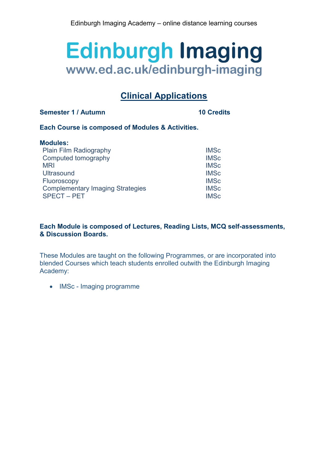# **Clinical Applications**

# **Semester 1 / Autumn 10 Credits**

# **Each Course is composed of Modules & Activities.**

| <b>Modules:</b>                         |             |
|-----------------------------------------|-------------|
| Plain Film Radiography                  | <b>IMSc</b> |
| Computed tomography                     | <b>IMSc</b> |
| <b>MRI</b>                              | <b>IMSc</b> |
| <b>Ultrasound</b>                       | <b>IMSc</b> |
| Fluoroscopy                             | <b>IMSc</b> |
| <b>Complementary Imaging Strategies</b> | <b>IMSc</b> |
| <b>SPECT - PET</b>                      | <b>IMSc</b> |

# **Each Module is composed of Lectures, Reading Lists, MCQ self-assessments, & Discussion Boards.**

These Modules are taught on the following Programmes, or are incorporated into blended Courses which teach students enrolled outwith the Edinburgh Imaging Academy:

• IMSc - Imaging programme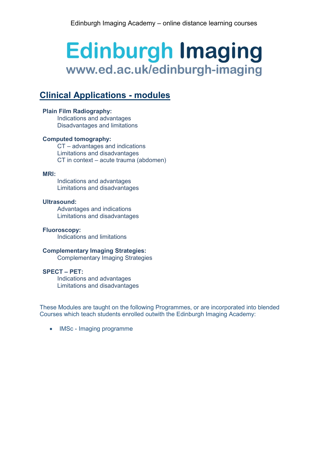# **Clinical Applications - modules**

# **Plain Film Radiography:**

Indications and advantages Disadvantages and limitations

# **Computed tomography:**

CT – advantages and indications Limitations and disadvantages CT in context – acute trauma (abdomen)

## **MRI:**

Indications and advantages Limitations and disadvantages

# **Ultrasound:**

Advantages and indications Limitations and disadvantages

**Fluoroscopy:** Indications and limitations

## **Complementary Imaging Strategies:**

Complementary Imaging Strategies

## **SPECT – PET:**

Indications and advantages Limitations and disadvantages

These Modules are taught on the following Programmes, or are incorporated into blended Courses which teach students enrolled outwith the Edinburgh Imaging Academy:

• IMSc - Imaging programme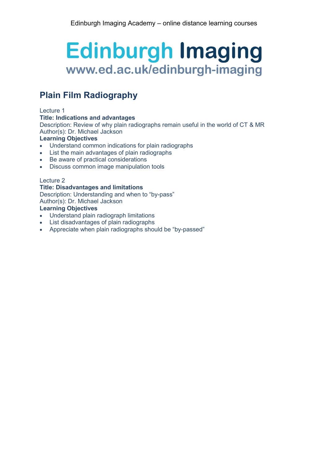# **Plain Film Radiography**

## Lecture 1

# **Title: Indications and advantages**

Description: Review of why plain radiographs remain useful in the world of CT & MR Author(s): Dr. Michael Jackson

# **Learning Objectives**

- Understand common indications for plain radiographs
- List the main advantages of plain radiographs
- Be aware of practical considerations
- Discuss common image manipulation tools

## Lecture 2

## **Title: Disadvantages and limitations**

Description: Understanding and when to "by-pass" Author(s): Dr. Michael Jackson **Learning Objectives**

- Understand plain radiograph limitations
- List disadvantages of plain radiographs
- Appreciate when plain radiographs should be "by-passed"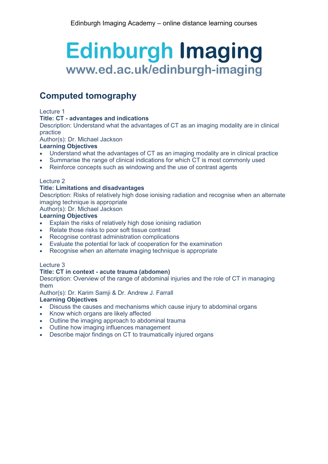# **Computed tomography**

## Lecture 1

## **Title: CT - advantages and indications**

Description: Understand what the advantages of CT as an imaging modality are in clinical practice

Author(s): Dr. Michael Jackson

## **Learning Objectives**

- Understand what the advantages of CT as an imaging modality are in clinical practice
- Summarise the range of clinical indications for which CT is most commonly used
- Reinforce concepts such as windowing and the use of contrast agents

## Lecture 2

# **Title: Limitations and disadvantages**

Description: Risks of relatively high dose ionising radiation and recognise when an alternate imaging technique is appropriate

Author(s): Dr. Michael Jackson

## **Learning Objectives**

- Explain the risks of relatively high dose ionising radiation
- Relate those risks to poor soft tissue contrast
- Recognise contrast administration complications
- Evaluate the potential for lack of cooperation for the examination
- Recognise when an alternate imaging technique is appropriate

## Lecture 3

## **Title: CT in context - acute trauma (abdomen)**

Description: Overview of the range of abdominal injuries and the role of CT in managing them

Author(s): Dr. Karim Samii & Dr. Andrew J. Farrall

## **Learning Objectives**

- Discuss the causes and mechanisms which cause injury to abdominal organs
- Know which organs are likely affected
- Outline the imaging approach to abdominal trauma
- Outline how imaging influences management
- Describe major findings on CT to traumatically injured organs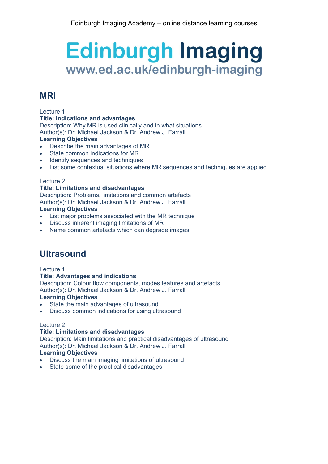# **MRI**

## Lecture 1

## **Title: Indications and advantages**

Description: Why MR is used clinically and in what situations

Author(s): Dr. Michael Jackson & Dr. Andrew J. Farrall

# **Learning Objectives**

- Describe the main advantages of MR
- State common indications for MR
- Identify sequences and techniques
- List some contextual situations where MR sequences and techniques are applied

## Lecture 2

# **Title: Limitations and disadvantages**

Description: Problems, limitations and common artefacts Author(s): Dr. Michael Jackson & Dr. Andrew J. Farrall **Learning Objectives**

- List major problems associated with the MR technique
- Discuss inherent imaging limitations of MR
- Name common artefacts which can degrade images

# **Ultrasound**

Lecture 1

## **Title: Advantages and indications**

Description: Colour flow components, modes features and artefacts Author(s): Dr. Michael Jackson & Dr. Andrew J. Farrall

# **Learning Objectives**

- State the main advantages of ultrasound
- Discuss common indications for using ultrasound

## Lecture 2

# **Title: Limitations and disadvantages**

Description: Main limitations and practical disadvantages of ultrasound Author(s): Dr. Michael Jackson & Dr. Andrew J. Farrall **Learning Objectives**

- Discuss the main imaging limitations of ultrasound
- State some of the practical disadvantages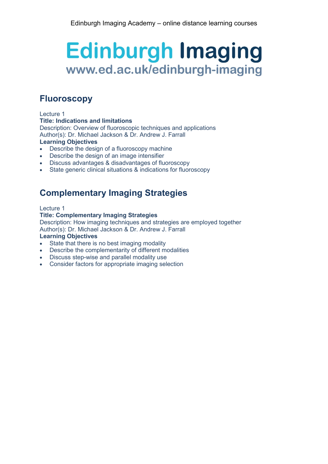# **Fluoroscopy**

# Lecture 1

#### **Title: Indications and limitations**

Description: Overview of fluoroscopic techniques and applications Author(s): Dr. Michael Jackson & Dr. Andrew J. Farrall

# **Learning Objectives**

- Describe the design of a fluoroscopy machine
- Describe the design of an image intensifier
- Discuss advantages & disadvantages of fluoroscopy
- State generic clinical situations & indications for fluoroscopy

# **Complementary Imaging Strategies**

# Lecture 1

# **Title: Complementary Imaging Strategies**

Description: How imaging techniques and strategies are employed together Author(s): Dr. Michael Jackson & Dr. Andrew J. Farrall

## **Learning Objectives**

- State that there is no best imaging modality
- Describe the complementarity of different modalities
- Discuss step-wise and parallel modality use
- Consider factors for appropriate imaging selection